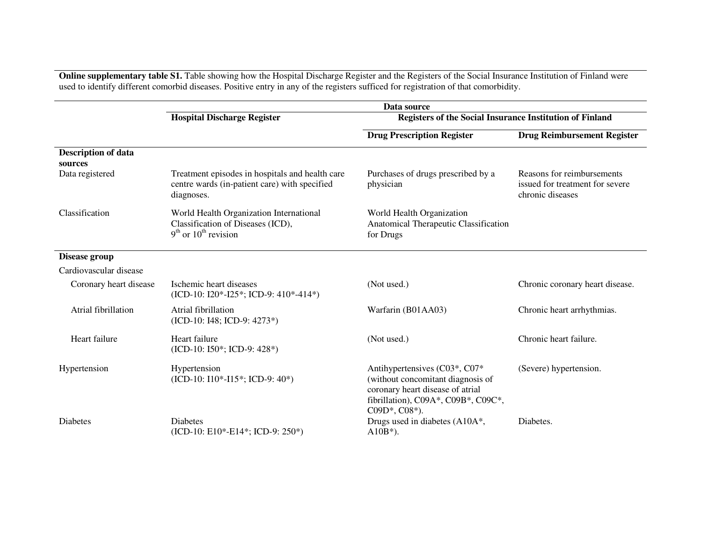**Online supplementary table S1.** Table showing how the Hospital Discharge Register and the Registers of the Social Insurance Institution of Finland were used to identify different comorbid diseases. Positive entry in any o

|                                       | Data source                                                                                                    |                                                                                                                                                                        |                                                                                   |
|---------------------------------------|----------------------------------------------------------------------------------------------------------------|------------------------------------------------------------------------------------------------------------------------------------------------------------------------|-----------------------------------------------------------------------------------|
|                                       | <b>Hospital Discharge Register</b>                                                                             | Registers of the Social Insurance Institution of Finland                                                                                                               |                                                                                   |
|                                       |                                                                                                                | <b>Drug Prescription Register</b>                                                                                                                                      | <b>Drug Reimbursement Register</b>                                                |
| <b>Description of data</b><br>sources |                                                                                                                |                                                                                                                                                                        |                                                                                   |
| Data registered                       | Treatment episodes in hospitals and health care<br>centre wards (in-patient care) with specified<br>diagnoses. | Purchases of drugs prescribed by a<br>physician                                                                                                                        | Reasons for reimbursements<br>issued for treatment for severe<br>chronic diseases |
| Classification                        | World Health Organization International<br>Classification of Diseases (ICD),<br>$9th$ or $10th$ revision       | World Health Organization<br>Anatomical Therapeutic Classification<br>for Drugs                                                                                        |                                                                                   |
| Disease group                         |                                                                                                                |                                                                                                                                                                        |                                                                                   |
| Cardiovascular disease                |                                                                                                                |                                                                                                                                                                        |                                                                                   |
| Coronary heart disease                | Ischemic heart diseases<br>$(ICD-10: I20*-I25*; ICD-9: 410*-414*)$                                             | (Not used.)                                                                                                                                                            | Chronic coronary heart disease.                                                   |
| Atrial fibrillation                   | Atrial fibrillation<br>(ICD-10: I48; ICD-9: 4273*)                                                             | Warfarin (B01AA03)                                                                                                                                                     | Chronic heart arrhythmias.                                                        |
| Heart failure                         | Heart failure<br>(ICD-10: 150*; ICD-9: 428*)                                                                   | (Not used.)                                                                                                                                                            | Chronic heart failure.                                                            |
| Hypertension                          | Hypertension<br>(ICD-10: I10*-I15*; ICD-9: 40*)                                                                | Antihypertensives (C03*, C07*<br>(without concomitant diagnosis of<br>coronary heart disease of atrial<br>fibrillation), C09A*, C09B*, C09C*,<br>$C09D^*$ , $C08^*$ ). | (Severe) hypertension.                                                            |
| <b>Diabetes</b>                       | <b>Diabetes</b><br>(ICD-10: E10*-E14*; ICD-9: 250*)                                                            | Drugs used in diabetes (A10A*,<br>$A10B*$ ).                                                                                                                           | Diabetes.                                                                         |